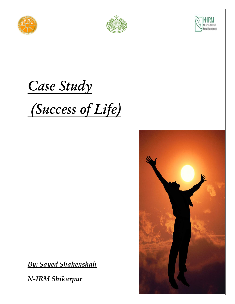





## *Case Study*

# *(Success of Life)*

*By: Sayed Shahenshah*

*N-IRM Shikarpur*